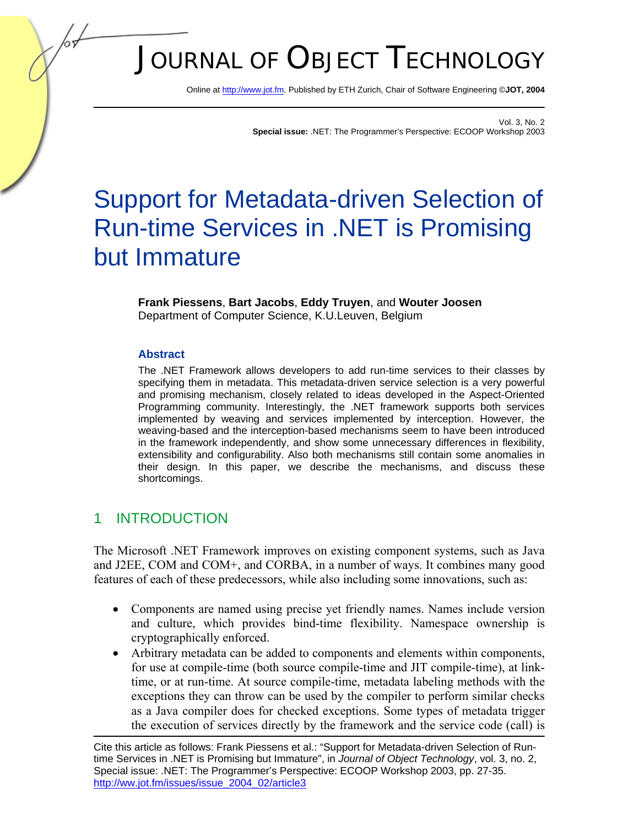# JOURNAL OF OBJECT TECHNOLOGY

Online [at http://www.jot.fm.](http://www.jot.fm) Published by ETH Zurich, Chair of Software Engineering ©**JOT, 2004** 

Vol. 3, No. 2 **Special issue:** .NET: The Programmer's Perspective: ECOOP Workshop 2003

## Support for Metadata-driven Selection of Run-time Services in .NET is Promising but Immature

#### **Frank Piessens**, **Bart Jacobs**, **Eddy Truyen**, and **Wouter Joosen**  Department of Computer Science, K.U.Leuven, Belgium

#### **Abstract**

The .NET Framework allows developers to add run-time services to their classes by specifying them in metadata. This metadata-driven service selection is a very powerful and promising mechanism, closely related to ideas developed in the Aspect-Oriented Programming community. Interestingly, the .NET framework supports both services implemented by weaving and services implemented by interception. However, the weaving-based and the interception-based mechanisms seem to have been introduced in the framework independently, and show some unnecessary differences in flexibility, extensibility and configurability. Also both mechanisms still contain some anomalies in their design. In this paper, we describe the mechanisms, and discuss these shortcomings.

## 1 INTRODUCTION

The Microsoft .NET Framework improves on existing component systems, such as Java and J2EE, COM and COM+, and CORBA, in a number of ways. It combines many good features of each of these predecessors, while also including some innovations, such as:

- Components are named using precise yet friendly names. Names include version and culture, which provides bind-time flexibility. Namespace ownership is cryptographically enforced.
- Arbitrary metadata can be added to components and elements within components, for use at compile-time (both source compile-time and JIT compile-time), at linktime, or at run-time. At source compile-time, metadata labeling methods with the exceptions they can throw can be used by the compiler to perform similar checks as a Java compiler does for checked exceptions. Some types of metadata trigger the execution of services directly by the framework and the service code (call) is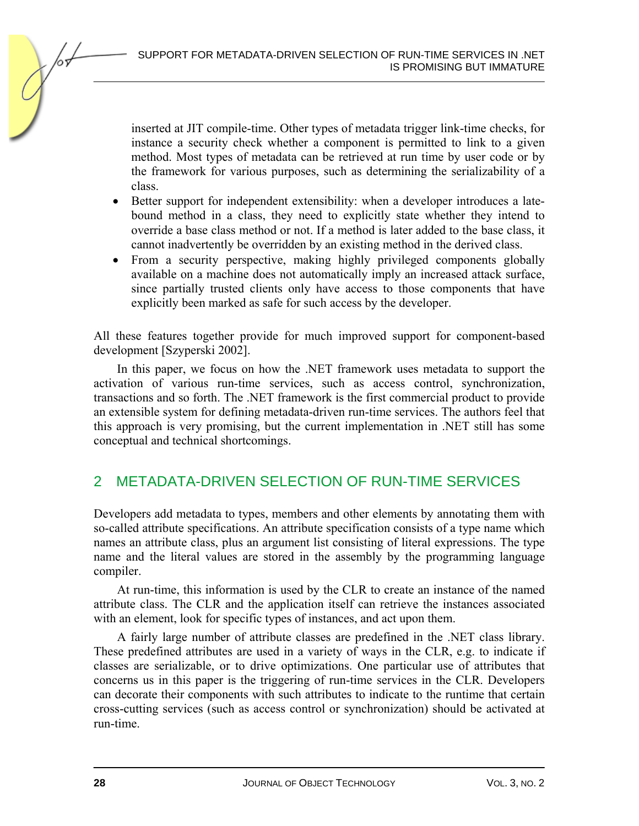

inserted at JIT compile-time. Other types of metadata trigger link-time checks, for instance a security check whether a component is permitted to link to a given method. Most types of metadata can be retrieved at run time by user code or by the framework for various purposes, such as determining the serializability of a class.

- Better support for independent extensibility: when a developer introduces a latebound method in a class, they need to explicitly state whether they intend to override a base class method or not. If a method is later added to the base class, it cannot inadvertently be overridden by an existing method in the derived class.
- From a security perspective, making highly privileged components globally available on a machine does not automatically imply an increased attack surface, since partially trusted clients only have access to those components that have explicitly been marked as safe for such access by the developer.

All these features together provide for much improved support for component-based development [Szyperski 2002].

In this paper, we focus on how the .NET framework uses metadata to support the activation of various run-time services, such as access control, synchronization, transactions and so forth. The .NET framework is the first commercial product to provide an extensible system for defining metadata-driven run-time services. The authors feel that this approach is very promising, but the current implementation in .NET still has some conceptual and technical shortcomings.

## 2 METADATA-DRIVEN SELECTION OF RUN-TIME SERVICES

Developers add metadata to types, members and other elements by annotating them with so-called attribute specifications. An attribute specification consists of a type name which names an attribute class, plus an argument list consisting of literal expressions. The type name and the literal values are stored in the assembly by the programming language compiler.

At run-time, this information is used by the CLR to create an instance of the named attribute class. The CLR and the application itself can retrieve the instances associated with an element, look for specific types of instances, and act upon them.

A fairly large number of attribute classes are predefined in the .NET class library. These predefined attributes are used in a variety of ways in the CLR, e.g. to indicate if classes are serializable, or to drive optimizations. One particular use of attributes that concerns us in this paper is the triggering of run-time services in the CLR. Developers can decorate their components with such attributes to indicate to the runtime that certain cross-cutting services (such as access control or synchronization) should be activated at run-time.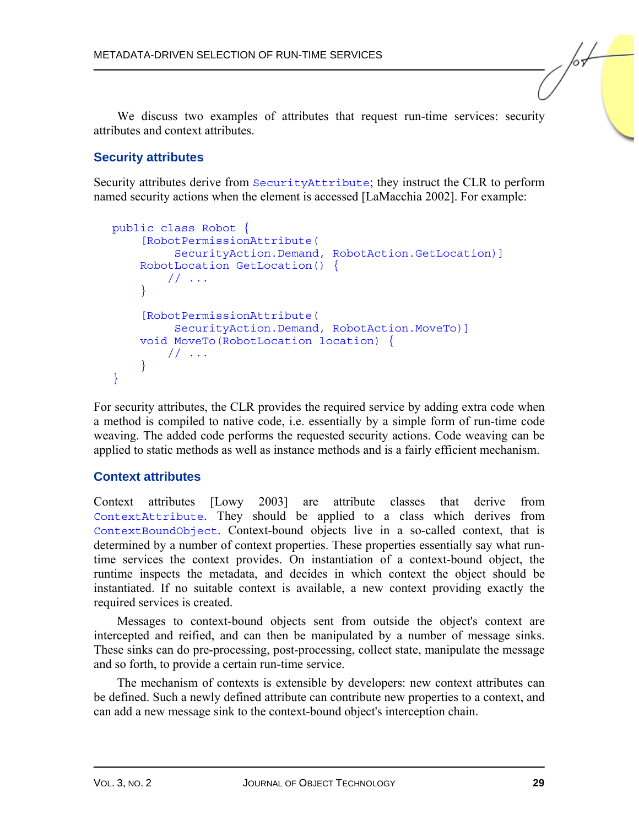We discuss two examples of attributes that request run-time services: security attributes and context attributes.

#### **Security attributes**

Security attributes derive from SecurityAttribute; they instruct the CLR to perform named security actions when the element is accessed [LaMacchia 2002]. For example:

```
public class Robot { 
     [RobotPermissionAttribute( 
          SecurityAction.Demand, RobotAction.GetLocation)] 
     RobotLocation GetLocation() { 
         // ... 
 } 
     [RobotPermissionAttribute( 
          SecurityAction.Demand, RobotAction.MoveTo)] 
     void MoveTo(RobotLocation location) { 
         // ... 
 } 
}
```
For security attributes, the CLR provides the required service by adding extra code when a method is compiled to native code, i.e. essentially by a simple form of run-time code weaving. The added code performs the requested security actions. Code weaving can be applied to static methods as well as instance methods and is a fairly efficient mechanism.

#### **Context attributes**

Context attributes [Lowy 2003] are attribute classes that derive from ContextAttribute. They should be applied to a class which derives from ContextBoundObject. Context-bound objects live in a so-called context, that is determined by a number of context properties. These properties essentially say what runtime services the context provides. On instantiation of a context-bound object, the runtime inspects the metadata, and decides in which context the object should be instantiated. If no suitable context is available, a new context providing exactly the required services is created.

Messages to context-bound objects sent from outside the object's context are intercepted and reified, and can then be manipulated by a number of message sinks. These sinks can do pre-processing, post-processing, collect state, manipulate the message and so forth, to provide a certain run-time service.

The mechanism of contexts is extensible by developers: new context attributes can be defined. Such a newly defined attribute can contribute new properties to a context, and can add a new message sink to the context-bound object's interception chain.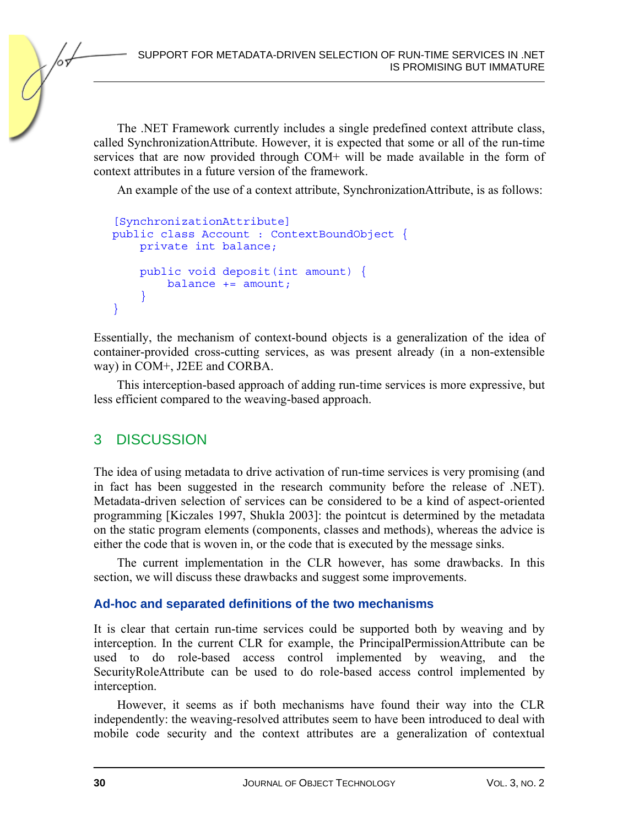SUPPORT FOR METADATA-DRIVEN SELECTION OF RUN-TIME SERVICES IN .NET IS PROMISING BUT IMMATURE

The .NET Framework currently includes a single predefined context attribute class, called SynchronizationAttribute. However, it is expected that some or all of the run-time services that are now provided through COM+ will be made available in the form of context attributes in a future version of the framework.

An example of the use of a context attribute, SynchronizationAttribute, is as follows:

```
[SynchronizationAttribute] 
public class Account : ContextBoundObject { 
     private int balance; 
     public void deposit(int amount) { 
        balance += amount: } 
}
```
Essentially, the mechanism of context-bound objects is a generalization of the idea of container-provided cross-cutting services, as was present already (in a non-extensible way) in COM+, J2EE and CORBA.

This interception-based approach of adding run-time services is more expressive, but less efficient compared to the weaving-based approach.

## 3 DISCUSSION

The idea of using metadata to drive activation of run-time services is very promising (and in fact has been suggested in the research community before the release of .NET). Metadata-driven selection of services can be considered to be a kind of aspect-oriented programming [Kiczales 1997, Shukla 2003]: the pointcut is determined by the metadata on the static program elements (components, classes and methods), whereas the advice is either the code that is woven in, or the code that is executed by the message sinks.

The current implementation in the CLR however, has some drawbacks. In this section, we will discuss these drawbacks and suggest some improvements.

#### **Ad-hoc and separated definitions of the two mechanisms**

It is clear that certain run-time services could be supported both by weaving and by interception. In the current CLR for example, the PrincipalPermissionAttribute can be used to do role-based access control implemented by weaving, and the SecurityRoleAttribute can be used to do role-based access control implemented by interception.

However, it seems as if both mechanisms have found their way into the CLR independently: the weaving-resolved attributes seem to have been introduced to deal with mobile code security and the context attributes are a generalization of contextual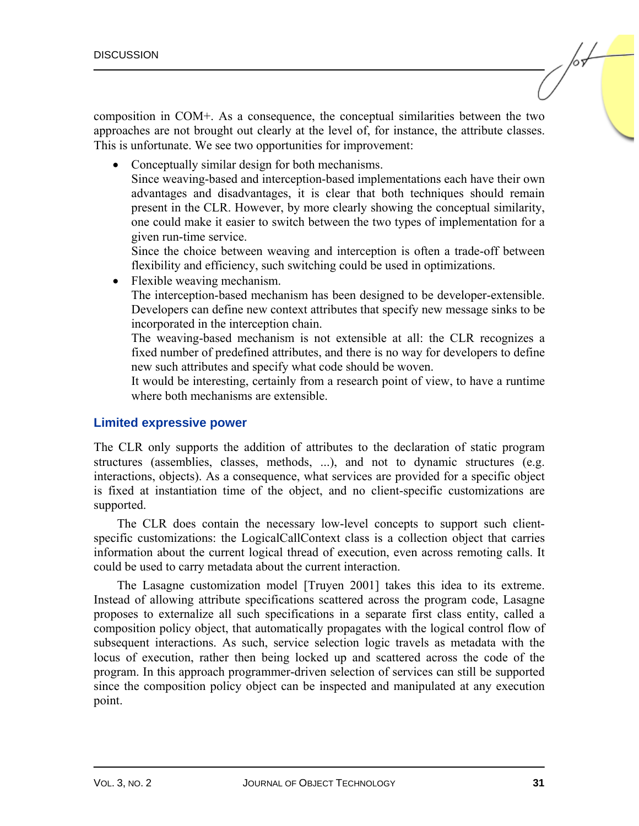composition in COM+. As a consequence, the conceptual similarities between the two approaches are not brought out clearly at the level of, for instance, the attribute classes. This is unfortunate. We see two opportunities for improvement:

• Conceptually similar design for both mechanisms.

Since weaving-based and interception-based implementations each have their own advantages and disadvantages, it is clear that both techniques should remain present in the CLR. However, by more clearly showing the conceptual similarity, one could make it easier to switch between the two types of implementation for a given run-time service.

Since the choice between weaving and interception is often a trade-off between flexibility and efficiency, such switching could be used in optimizations.

• Flexible weaving mechanism.

The interception-based mechanism has been designed to be developer-extensible. Developers can define new context attributes that specify new message sinks to be incorporated in the interception chain.

The weaving-based mechanism is not extensible at all: the CLR recognizes a fixed number of predefined attributes, and there is no way for developers to define new such attributes and specify what code should be woven.

It would be interesting, certainly from a research point of view, to have a runtime where both mechanisms are extensible.

#### **Limited expressive power**

The CLR only supports the addition of attributes to the declaration of static program structures (assemblies, classes, methods, ...), and not to dynamic structures (e.g. interactions, objects). As a consequence, what services are provided for a specific object is fixed at instantiation time of the object, and no client-specific customizations are supported.

The CLR does contain the necessary low-level concepts to support such clientspecific customizations: the LogicalCallContext class is a collection object that carries information about the current logical thread of execution, even across remoting calls. It could be used to carry metadata about the current interaction.

The Lasagne customization model [Truyen 2001] takes this idea to its extreme. Instead of allowing attribute specifications scattered across the program code, Lasagne proposes to externalize all such specifications in a separate first class entity, called a composition policy object, that automatically propagates with the logical control flow of subsequent interactions. As such, service selection logic travels as metadata with the locus of execution, rather then being locked up and scattered across the code of the program. In this approach programmer-driven selection of services can still be supported since the composition policy object can be inspected and manipulated at any execution point.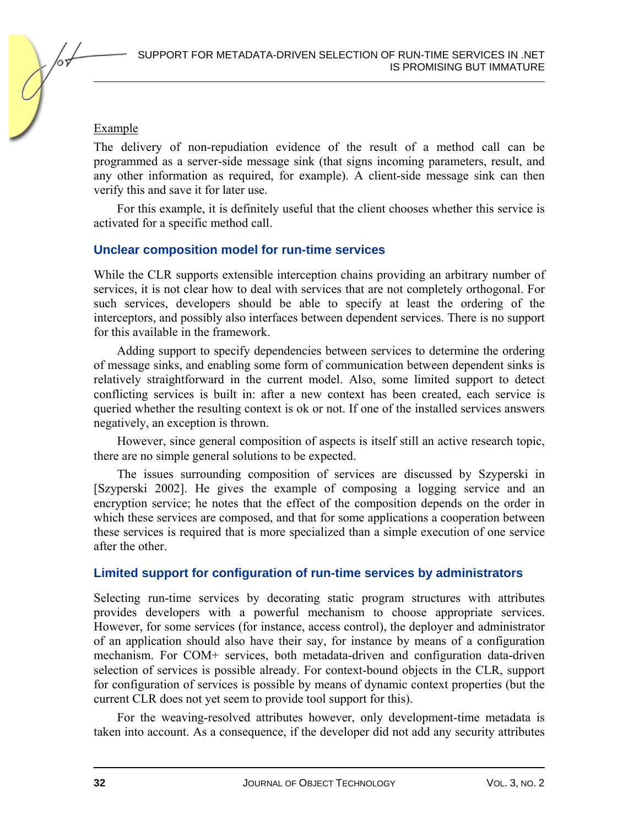#### Example

The delivery of non-repudiation evidence of the result of a method call can be programmed as a server-side message sink (that signs incoming parameters, result, and any other information as required, for example). A client-side message sink can then verify this and save it for later use.

For this example, it is definitely useful that the client chooses whether this service is activated for a specific method call.

#### **Unclear composition model for run-time services**

While the CLR supports extensible interception chains providing an arbitrary number of services, it is not clear how to deal with services that are not completely orthogonal. For such services, developers should be able to specify at least the ordering of the interceptors, and possibly also interfaces between dependent services. There is no support for this available in the framework.

Adding support to specify dependencies between services to determine the ordering of message sinks, and enabling some form of communication between dependent sinks is relatively straightforward in the current model. Also, some limited support to detect conflicting services is built in: after a new context has been created, each service is queried whether the resulting context is ok or not. If one of the installed services answers negatively, an exception is thrown.

However, since general composition of aspects is itself still an active research topic, there are no simple general solutions to be expected.

The issues surrounding composition of services are discussed by Szyperski in [Szyperski 2002]. He gives the example of composing a logging service and an encryption service; he notes that the effect of the composition depends on the order in which these services are composed, and that for some applications a cooperation between these services is required that is more specialized than a simple execution of one service after the other.

#### **Limited support for configuration of run-time services by administrators**

Selecting run-time services by decorating static program structures with attributes provides developers with a powerful mechanism to choose appropriate services. However, for some services (for instance, access control), the deployer and administrator of an application should also have their say, for instance by means of a configuration mechanism. For COM+ services, both metadata-driven and configuration data-driven selection of services is possible already. For context-bound objects in the CLR, support for configuration of services is possible by means of dynamic context properties (but the current CLR does not yet seem to provide tool support for this).

For the weaving-resolved attributes however, only development-time metadata is taken into account. As a consequence, if the developer did not add any security attributes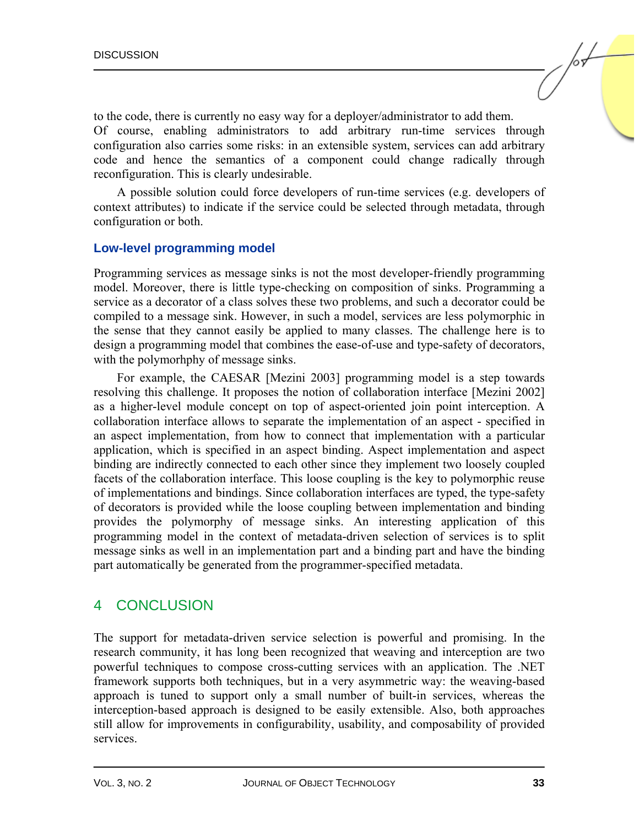to the code, there is currently no easy way for a deployer/administrator to add them. Of course, enabling administrators to add arbitrary run-time services through configuration also carries some risks: in an extensible system, services can add arbitrary code and hence the semantics of a component could change radically through reconfiguration. This is clearly undesirable.

A possible solution could force developers of run-time services (e.g. developers of context attributes) to indicate if the service could be selected through metadata, through configuration or both.

#### **Low-level programming model**

Programming services as message sinks is not the most developer-friendly programming model. Moreover, there is little type-checking on composition of sinks. Programming a service as a decorator of a class solves these two problems, and such a decorator could be compiled to a message sink. However, in such a model, services are less polymorphic in the sense that they cannot easily be applied to many classes. The challenge here is to design a programming model that combines the ease-of-use and type-safety of decorators, with the polymorhphy of message sinks.

For example, the CAESAR [Mezini 2003] programming model is a step towards resolving this challenge. It proposes the notion of collaboration interface [Mezini 2002] as a higher-level module concept on top of aspect-oriented join point interception. A collaboration interface allows to separate the implementation of an aspect - specified in an aspect implementation, from how to connect that implementation with a particular application, which is specified in an aspect binding. Aspect implementation and aspect binding are indirectly connected to each other since they implement two loosely coupled facets of the collaboration interface. This loose coupling is the key to polymorphic reuse of implementations and bindings. Since collaboration interfaces are typed, the type-safety of decorators is provided while the loose coupling between implementation and binding provides the polymorphy of message sinks. An interesting application of this programming model in the context of metadata-driven selection of services is to split message sinks as well in an implementation part and a binding part and have the binding part automatically be generated from the programmer-specified metadata.

## 4 CONCLUSION

The support for metadata-driven service selection is powerful and promising. In the research community, it has long been recognized that weaving and interception are two powerful techniques to compose cross-cutting services with an application. The .NET framework supports both techniques, but in a very asymmetric way: the weaving-based approach is tuned to support only a small number of built-in services, whereas the interception-based approach is designed to be easily extensible. Also, both approaches still allow for improvements in configurability, usability, and composability of provided services.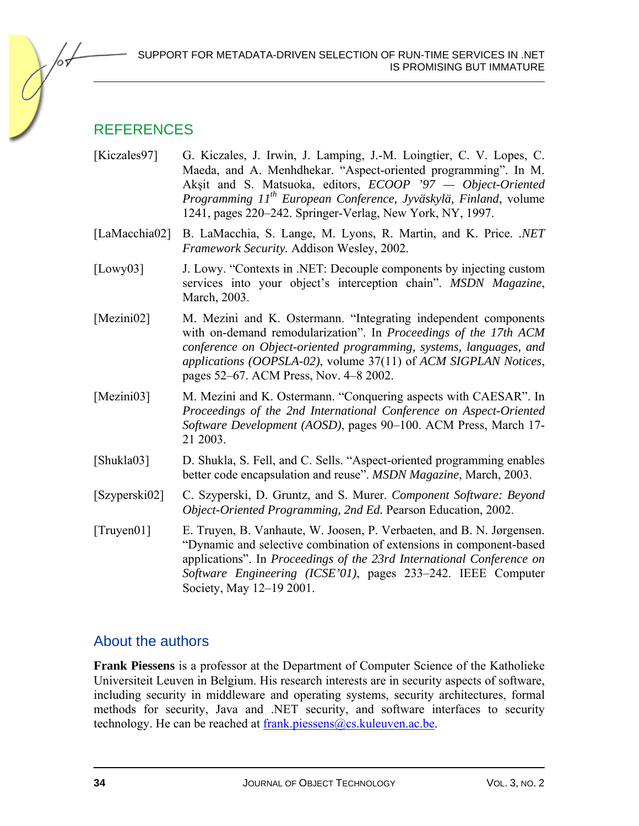

## **REFERENCES**

- [Kiczales97] G. Kiczales, J. Irwin, J. Lamping, J.-M. Loingtier, C. V. Lopes, C. Maeda, and A. Menhdhekar. "Aspect-oriented programming". In M. Akşit and S. Matsuoka, editors, *ECOOP '97 — Object-Oriented Programming 11th European Conference, Jyväskylä, Finland*, volume 1241, pages 220–242. Springer-Verlag, New York, NY, 1997.
- [LaMacchia02] B. LaMacchia, S. Lange, M. Lyons, R. Martin, and K. Price. *.NET Framework Security.* Addison Wesley, 2002.
- [Lowy03] J. Lowy. "Contexts in .NET: Decouple components by injecting custom services into your object's interception chain". *MSDN Magazine*, March, 2003.
- [Mezini02] M. Mezini and K. Ostermann. "Integrating independent components with on-demand remodularization". In *Proceedings of the 17th ACM conference on Object-oriented programming, systems, languages, and applications (OOPSLA-02)*, volume 37(11) of *ACM SIGPLAN Notices*, pages 52–67. ACM Press, Nov. 4–8 2002.
- [Mezini03] M. Mezini and K. Ostermann. "Conquering aspects with CAESAR". In *Proceedings of the 2nd International Conference on Aspect-Oriented Software Development (AOSD)*, pages 90–100. ACM Press, March 17- 21 2003.
- [Shukla03] D. Shukla, S. Fell, and C. Sells. "Aspect-oriented programming enables better code encapsulation and reuse". *MSDN Magazine*, March, 2003.
- [Szyperski02] C. Szyperski, D. Gruntz, and S. Murer. *Component Software: Beyond Object-Oriented Programming, 2nd Ed.* Pearson Education, 2002.
- [Truyen01] E. Truyen, B. Vanhaute, W. Joosen, P. Verbaeten, and B. N. Jørgensen. "Dynamic and selective combination of extensions in component-based applications". In *Proceedings of the 23rd International Conference on Software Engineering (ICSE'01)*, pages 233–242. IEEE Computer Society, May 12–19 2001.

## About the authors

**Frank Piessens** is a professor at the Department of Computer Science of the Katholieke Universiteit Leuven in Belgium. His research interests are in security aspects of software, including security in middleware and operating systems, security architectures, formal methods for security, Java and .NET security, and software interfaces to security technology. He can be reached at frank.piessens@cs.kuleuven.ac.be.